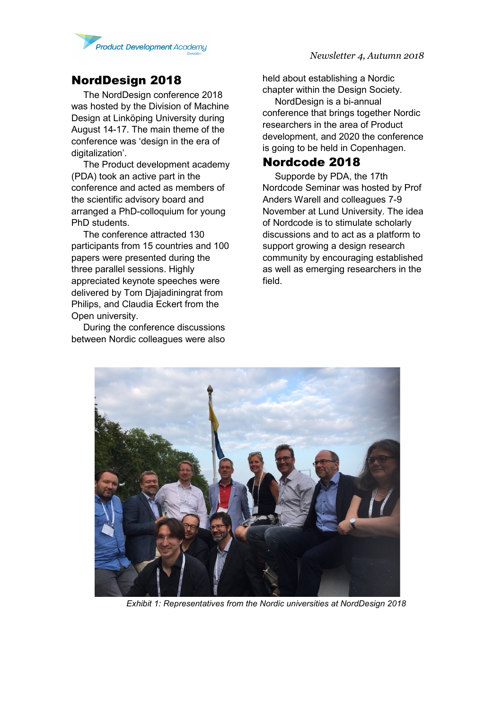

### NordDesign 2018

The NordDesign conference 2018 was hosted by the Division of Machine Design at Linköping University during August 14-17. The main theme of the conference was 'design in the era of digitalization'.

The Product development academy (PDA) took an active part in the conference and acted as members of the scientific advisory board and arranged a PhD-colloquium for young PhD students.

The conference attracted 130 participants from 15 countries and 100 papers were presented during the three parallel sessions. Highly appreciated keynote speeches were delivered by Tom Djajadiningrat from Philips, and Claudia Eckert from the Open university.

During the conference discussions between Nordic colleagues were also held about establishing a Nordic chapter within the Design Society.

NordDesign is a bi-annual conference that brings together Nordic researchers in the area of Product development, and 2020 the conference is going to be held in Copenhagen.

#### Nordcode 2018

Supporde by PDA, the 17th Nordcode Seminar was hosted by Prof Anders Warell and colleagues 7-9 November at Lund University. The idea of Nordcode is to stimulate scholarly discussions and to act as a platform to support growing a design research community by encouraging established as well as emerging researchers in the field.



*Exhibit 1: Representatives from the Nordic universities at NordDesign 2018*